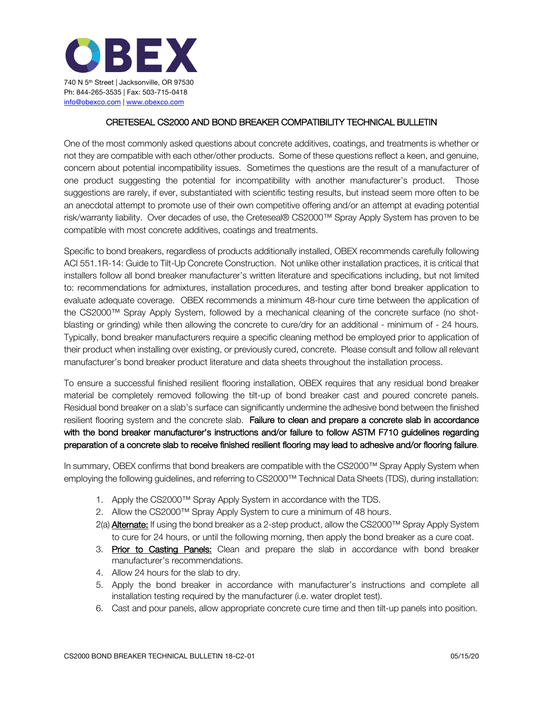

## CRETESEAL CS2000 AND BOND BREAKER COMPATIBILITY TECHNICAL BULLETIN

One of the most commonly asked questions about concrete additives, coatings, and treatments is whether or not they are compatible with each other/other products. Some of these questions reflect a keen, and genuine, concern about potential incompatibility issues. Sometimes the questions are the result of a manufacturer of one product suggesting the potential for incompatibility with another manufacturer's product. Those suggestions are rarely, if ever, substantiated with scientific testing results, but instead seem more often to be an anecdotal attempt to promote use of their own competitive offering and/or an attempt at evading potential risk/warranty liability. Over decades of use, the Creteseal® CS2000™ Spray Apply System has proven to be compatible with most concrete additives, coatings and treatments.

Specific to bond breakers, regardless of products additionally installed, OBEX recommends carefully following ACI 551.1R-14: Guide to Tilt-Up Concrete Construction. Not unlike other installation practices, it is critical that installers follow all bond breaker manufacturer's written literature and specifications including, but not limited to: recommendations for admixtures, installation procedures, and testing after bond breaker application to evaluate adequate coverage. OBEX recommends a minimum 48-hour cure time between the application of the CS2000™ Spray Apply System, followed by a mechanical cleaning of the concrete surface (no shotblasting or grinding) while then allowing the concrete to cure/dry for an additional - minimum of - 24 hours. Typically, bond breaker manufacturers require a specific cleaning method be employed prior to application of their product when installing over existing, or previously cured, concrete. Please consult and follow all relevant manufacturer's bond breaker product literature and data sheets throughout the installation process.

To ensure a successful finished resilient flooring installation, OBEX requires that any residual bond breaker material be completely removed following the tilt-up of bond breaker cast and poured concrete panels. Residual bond breaker on a slab's surface can significantly undermine the adhesive bond between the finished resilient flooring system and the concrete slab. Failure to clean and prepare a concrete slab in accordance with the bond breaker manufacturer's instructions and/or failure to follow ASTM F710 guidelines regarding preparation of a concrete slab to receive finished resilient flooring may lead to adhesive and/or flooring failure.

In summary, OBEX confirms that bond breakers are compatible with the CS2000™ Spray Apply System when employing the following guidelines, and referring to CS2000™ Technical Data Sheets (TDS), during installation:

- 1. Apply the CS2000™ Spray Apply System in accordance with the TDS.
- 2. Allow the CS2000™ Spray Apply System to cure a minimum of 48 hours.
- 2(a) **Alternate:** If using the bond breaker as a 2-step product, allow the CS2000™ Spray Apply System to cure for 24 hours, or until the following morning, then apply the bond breaker as a cure coat.
- 3. Prior to Casting Panels: Clean and prepare the slab in accordance with bond breaker manufacturer's recommendations.
- 4. Allow 24 hours for the slab to dry.
- 5. Apply the bond breaker in accordance with manufacturer's instructions and complete all installation testing required by the manufacturer (i.e. water droplet test).
- 6. Cast and pour panels, allow appropriate concrete cure time and then tilt-up panels into position.